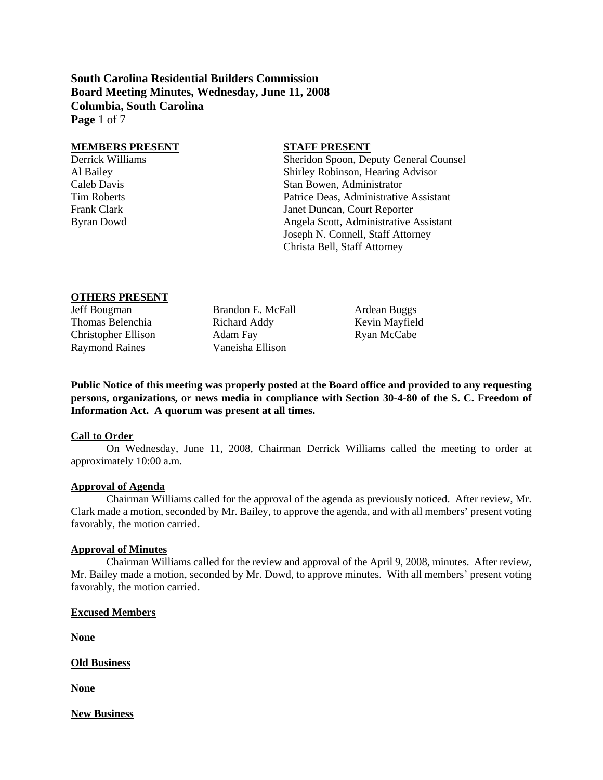**South Carolina Residential Builders Commission Board Meeting Minutes, Wednesday, June 11, 2008 Columbia, South Carolina Page** 1 of 7

#### **MEMBERS PRESENT STAFF PRESENT**

Derrick Williams Sheridon Spoon, Deputy General Counsel Al Bailey Shirley Robinson, Hearing Advisor Caleb Davis Stan Bowen, Administrator Tim Roberts Patrice Deas, Administrative Assistant Frank Clark **I**anet Duncan, Court Reporter Byran Dowd Angela Scott, Administrative Assistant Joseph N. Connell, Staff Attorney Christa Bell, Staff Attorney

#### **OTHERS PRESENT**

| Jeff Bougman               | Brandon E. McFall | Ardean Buggs   |
|----------------------------|-------------------|----------------|
| Thomas Belenchia           | Richard Addy      | Kevin Mayfield |
| <b>Christopher Ellison</b> | Adam Fay          | Ryan McCabe    |
| <b>Raymond Raines</b>      | Vaneisha Ellison  |                |

**Public Notice of this meeting was properly posted at the Board office and provided to any requesting persons, organizations, or news media in compliance with Section 30-4-80 of the S. C. Freedom of Information Act. A quorum was present at all times.** 

#### **Call to Order**

On Wednesday, June 11, 2008, Chairman Derrick Williams called the meeting to order at approximately 10:00 a.m.

#### **Approval of Agenda**

Chairman Williams called for the approval of the agenda as previously noticed. After review, Mr. Clark made a motion, seconded by Mr. Bailey, to approve the agenda, and with all members' present voting favorably, the motion carried.

#### **Approval of Minutes**

Chairman Williams called for the review and approval of the April 9, 2008, minutes. After review, Mr. Bailey made a motion, seconded by Mr. Dowd, to approve minutes. With all members' present voting favorably, the motion carried.

#### **Excused Members**

**None** 

**Old Business**

**None** 

**New Business**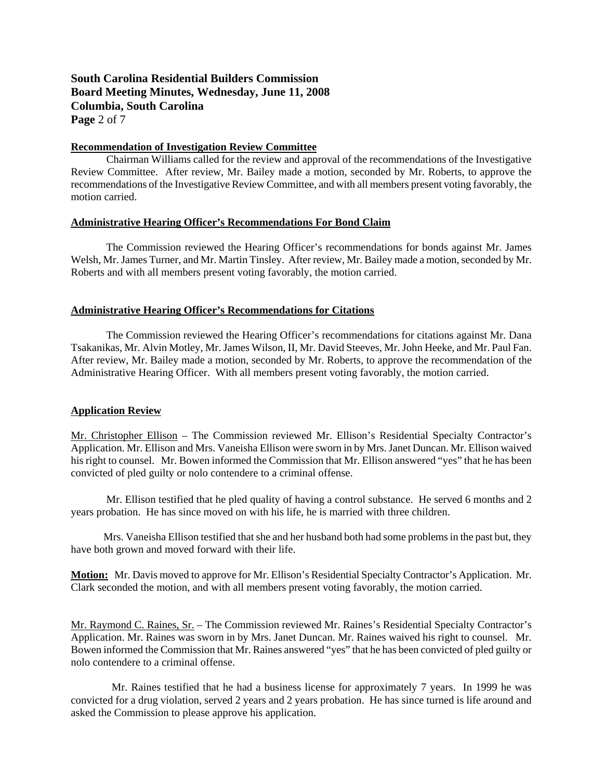# **South Carolina Residential Builders Commission Board Meeting Minutes, Wednesday, June 11, 2008 Columbia, South Carolina Page** 2 of 7

## **Recommendation of Investigation Review Committee**

Chairman Williams called for the review and approval of the recommendations of the Investigative Review Committee. After review, Mr. Bailey made a motion, seconded by Mr. Roberts, to approve the recommendations of the Investigative Review Committee, and with all members present voting favorably, the motion carried.

### **Administrative Hearing Officer's Recommendations For Bond Claim**

 The Commission reviewed the Hearing Officer's recommendations for bonds against Mr. James Welsh, Mr. James Turner, and Mr. Martin Tinsley. After review, Mr. Bailey made a motion, seconded by Mr. Roberts and with all members present voting favorably, the motion carried.

## **Administrative Hearing Officer's Recommendations for Citations**

The Commission reviewed the Hearing Officer's recommendations for citations against Mr. Dana Tsakanikas, Mr. Alvin Motley, Mr. James Wilson, II, Mr. David Steeves, Mr. John Heeke, and Mr. Paul Fan. After review, Mr. Bailey made a motion, seconded by Mr. Roberts, to approve the recommendation of the Administrative Hearing Officer. With all members present voting favorably, the motion carried.

## **Application Review**

Mr. Christopher Ellison – The Commission reviewed Mr. Ellison's Residential Specialty Contractor's Application. Mr. Ellison and Mrs. Vaneisha Ellison were sworn in by Mrs. Janet Duncan. Mr. Ellison waived his right to counsel. Mr. Bowen informed the Commission that Mr. Ellison answered "yes" that he has been convicted of pled guilty or nolo contendere to a criminal offense.

 Mr. Ellison testified that he pled quality of having a control substance. He served 6 months and 2 years probation. He has since moved on with his life, he is married with three children.

 Mrs. Vaneisha Ellison testified that she and her husband both had some problems in the past but, they have both grown and moved forward with their life.

**Motion:** Mr. Davis moved to approve for Mr. Ellison's Residential Specialty Contractor's Application. Mr. Clark seconded the motion, and with all members present voting favorably, the motion carried.

Mr. Raymond C. Raines, Sr. – The Commission reviewed Mr. Raines's Residential Specialty Contractor's Application. Mr. Raines was sworn in by Mrs. Janet Duncan. Mr. Raines waived his right to counsel. Mr. Bowen informed the Commission that Mr. Raines answered "yes" that he has been convicted of pled guilty or nolo contendere to a criminal offense.

 Mr. Raines testified that he had a business license for approximately 7 years. In 1999 he was convicted for a drug violation, served 2 years and 2 years probation. He has since turned is life around and asked the Commission to please approve his application.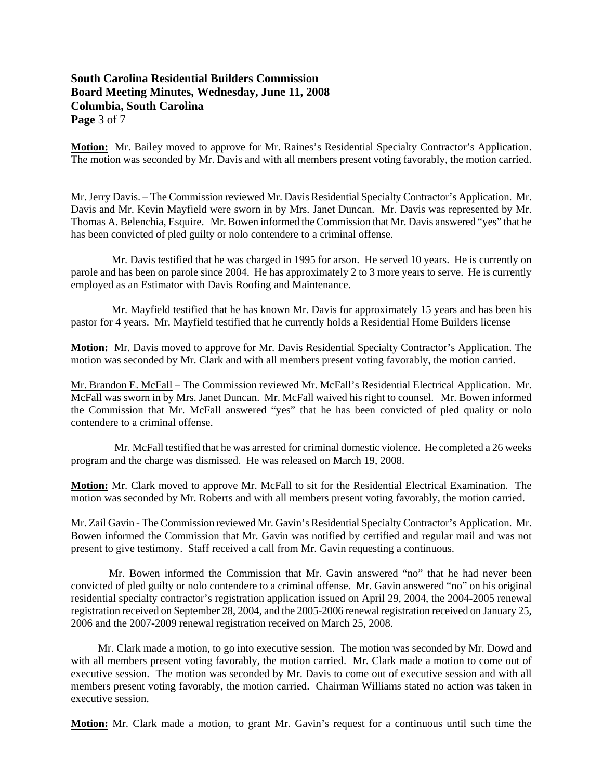# **South Carolina Residential Builders Commission Board Meeting Minutes, Wednesday, June 11, 2008 Columbia, South Carolina Page** 3 of 7

**Motion:** Mr. Bailey moved to approve for Mr. Raines's Residential Specialty Contractor's Application. The motion was seconded by Mr. Davis and with all members present voting favorably, the motion carried.

Mr. Jerry Davis. – The Commission reviewed Mr. Davis Residential Specialty Contractor's Application. Mr. Davis and Mr. Kevin Mayfield were sworn in by Mrs. Janet Duncan. Mr. Davis was represented by Mr. Thomas A. Belenchia, Esquire. Mr. Bowen informed the Commission that Mr. Davis answered "yes" that he has been convicted of pled guilty or nolo contendere to a criminal offense.

 Mr. Davis testified that he was charged in 1995 for arson. He served 10 years. He is currently on parole and has been on parole since 2004. He has approximately 2 to 3 more years to serve. He is currently employed as an Estimator with Davis Roofing and Maintenance.

 Mr. Mayfield testified that he has known Mr. Davis for approximately 15 years and has been his pastor for 4 years. Mr. Mayfield testified that he currently holds a Residential Home Builders license

**Motion:** Mr. Davis moved to approve for Mr. Davis Residential Specialty Contractor's Application. The motion was seconded by Mr. Clark and with all members present voting favorably, the motion carried.

Mr. Brandon E. McFall – The Commission reviewed Mr. McFall's Residential Electrical Application. Mr. McFall was sworn in by Mrs. Janet Duncan. Mr. McFall waived his right to counsel. Mr. Bowen informed the Commission that Mr. McFall answered "yes" that he has been convicted of pled quality or nolo contendere to a criminal offense.

 Mr. McFall testified that he was arrested for criminal domestic violence. He completed a 26 weeks program and the charge was dismissed. He was released on March 19, 2008.

**Motion:** Mr. Clark moved to approve Mr. McFall to sit for the Residential Electrical Examination. The motion was seconded by Mr. Roberts and with all members present voting favorably, the motion carried.

Mr. Zail Gavin - The Commission reviewed Mr. Gavin's Residential Specialty Contractor's Application. Mr. Bowen informed the Commission that Mr. Gavin was notified by certified and regular mail and was not present to give testimony. Staff received a call from Mr. Gavin requesting a continuous.

 Mr. Bowen informed the Commission that Mr. Gavin answered "no" that he had never been convicted of pled guilty or nolo contendere to a criminal offense. Mr. Gavin answered "no" on his original residential specialty contractor's registration application issued on April 29, 2004, the 2004-2005 renewal registration received on September 28, 2004, and the 2005-2006 renewal registration received on January 25, 2006 and the 2007-2009 renewal registration received on March 25, 2008.

 Mr. Clark made a motion, to go into executive session. The motion was seconded by Mr. Dowd and with all members present voting favorably, the motion carried. Mr. Clark made a motion to come out of executive session. The motion was seconded by Mr. Davis to come out of executive session and with all members present voting favorably, the motion carried. Chairman Williams stated no action was taken in executive session.

**Motion:** Mr. Clark made a motion, to grant Mr. Gavin's request for a continuous until such time the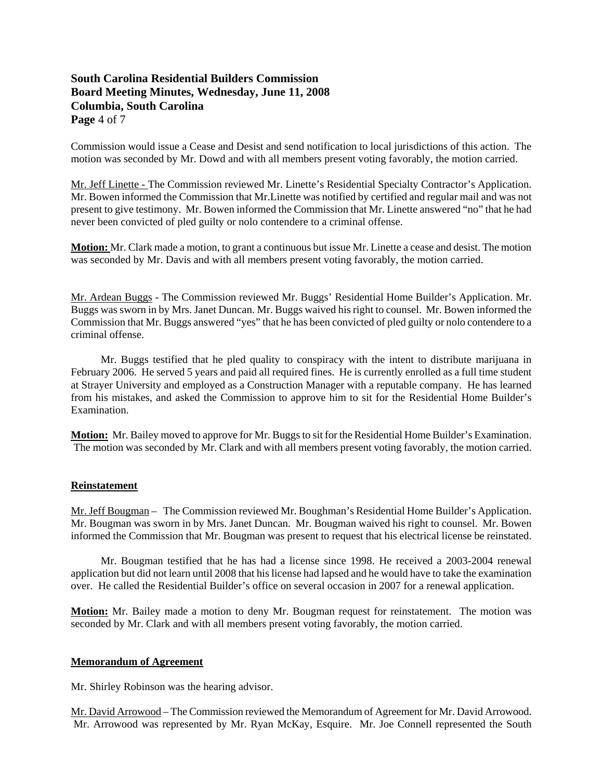# **South Carolina Residential Builders Commission Board Meeting Minutes, Wednesday, June 11, 2008 Columbia, South Carolina Page** 4 of 7

Commission would issue a Cease and Desist and send notification to local jurisdictions of this action. The motion was seconded by Mr. Dowd and with all members present voting favorably, the motion carried.

Mr. Jeff Linette - The Commission reviewed Mr. Linette's Residential Specialty Contractor's Application. Mr. Bowen informed the Commission that Mr.Linette was notified by certified and regular mail and was not present to give testimony. Mr. Bowen informed the Commission that Mr. Linette answered "no" that he had never been convicted of pled guilty or nolo contendere to a criminal offense.

**Motion:** Mr. Clark made a motion, to grant a continuous but issue Mr. Linette a cease and desist. The motion was seconded by Mr. Davis and with all members present voting favorably, the motion carried.

Mr. Ardean Buggs - The Commission reviewed Mr. Buggs' Residential Home Builder's Application. Mr. Buggs was sworn in by Mrs. Janet Duncan. Mr. Buggs waived his right to counsel. Mr. Bowen informed the Commission that Mr. Buggs answered "yes" that he has been convicted of pled guilty or nolo contendere to a criminal offense.

 Mr. Buggs testified that he pled quality to conspiracy with the intent to distribute marijuana in February 2006. He served 5 years and paid all required fines. He is currently enrolled as a full time student at Strayer University and employed as a Construction Manager with a reputable company. He has learned from his mistakes, and asked the Commission to approve him to sit for the Residential Home Builder's Examination.

**Motion:** Mr. Bailey moved to approve for Mr. Buggs to sit for the Residential Home Builder's Examination. The motion was seconded by Mr. Clark and with all members present voting favorably, the motion carried.

## **Reinstatement**

Mr. Jeff Bougman – The Commission reviewed Mr. Boughman's Residential Home Builder's Application. Mr. Bougman was sworn in by Mrs. Janet Duncan. Mr. Bougman waived his right to counsel. Mr. Bowen informed the Commission that Mr. Bougman was present to request that his electrical license be reinstated.

 Mr. Bougman testified that he has had a license since 1998. He received a 2003-2004 renewal application but did not learn until 2008 that his license had lapsed and he would have to take the examination over. He called the Residential Builder's office on several occasion in 2007 for a renewal application.

**Motion:** Mr. Bailey made a motion to deny Mr. Bougman request for reinstatement. The motion was seconded by Mr. Clark and with all members present voting favorably, the motion carried.

## **Memorandum of Agreement**

Mr. Shirley Robinson was the hearing advisor.

Mr. David Arrowood – The Commission reviewed the Memorandum of Agreement for Mr. David Arrowood. Mr. Arrowood was represented by Mr. Ryan McKay, Esquire. Mr. Joe Connell represented the South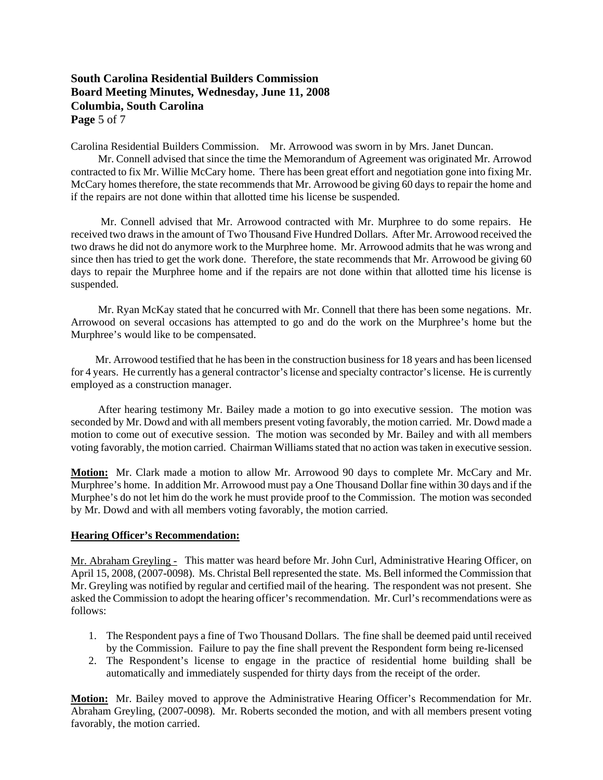# **South Carolina Residential Builders Commission Board Meeting Minutes, Wednesday, June 11, 2008 Columbia, South Carolina Page** 5 of 7

Carolina Residential Builders Commission. Mr. Arrowood was sworn in by Mrs. Janet Duncan.

 Mr. Connell advised that since the time the Memorandum of Agreement was originated Mr. Arrowod contracted to fix Mr. Willie McCary home. There has been great effort and negotiation gone into fixing Mr. McCary homes therefore, the state recommends that Mr. Arrowood be giving 60 days to repair the home and if the repairs are not done within that allotted time his license be suspended.

 Mr. Connell advised that Mr. Arrowood contracted with Mr. Murphree to do some repairs. He received two draws in the amount of Two Thousand Five Hundred Dollars. After Mr. Arrowood received the two draws he did not do anymore work to the Murphree home. Mr. Arrowood admits that he was wrong and since then has tried to get the work done. Therefore, the state recommends that Mr. Arrowood be giving 60 days to repair the Murphree home and if the repairs are not done within that allotted time his license is suspended.

 Mr. Ryan McKay stated that he concurred with Mr. Connell that there has been some negations. Mr. Arrowood on several occasions has attempted to go and do the work on the Murphree's home but the Murphree's would like to be compensated.

 Mr. Arrowood testified that he has been in the construction business for 18 years and has been licensed for 4 years. He currently has a general contractor's license and specialty contractor's license. He is currently employed as a construction manager.

 After hearing testimony Mr. Bailey made a motion to go into executive session. The motion was seconded by Mr. Dowd and with all members present voting favorably, the motion carried. Mr. Dowd made a motion to come out of executive session. The motion was seconded by Mr. Bailey and with all members voting favorably, the motion carried. Chairman Williams stated that no action was taken in executive session.

**Motion:** Mr. Clark made a motion to allow Mr. Arrowood 90 days to complete Mr. McCary and Mr. Murphree's home. In addition Mr. Arrowood must pay a One Thousand Dollar fine within 30 days and if the Murphee's do not let him do the work he must provide proof to the Commission. The motion was seconded by Mr. Dowd and with all members voting favorably, the motion carried.

## **Hearing Officer's Recommendation:**

Mr. Abraham Greyling - This matter was heard before Mr. John Curl, Administrative Hearing Officer, on April 15, 2008, (2007-0098). Ms. Christal Bell represented the state. Ms. Bell informed the Commission that Mr. Greyling was notified by regular and certified mail of the hearing. The respondent was not present. She asked the Commission to adopt the hearing officer's recommendation. Mr. Curl's recommendations were as follows:

- 1. The Respondent pays a fine of Two Thousand Dollars. The fine shall be deemed paid until received by the Commission. Failure to pay the fine shall prevent the Respondent form being re-licensed
- 2. The Respondent's license to engage in the practice of residential home building shall be automatically and immediately suspended for thirty days from the receipt of the order.

**Motion:** Mr. Bailey moved to approve the Administrative Hearing Officer's Recommendation for Mr. Abraham Greyling, (2007-0098). Mr. Roberts seconded the motion, and with all members present voting favorably, the motion carried.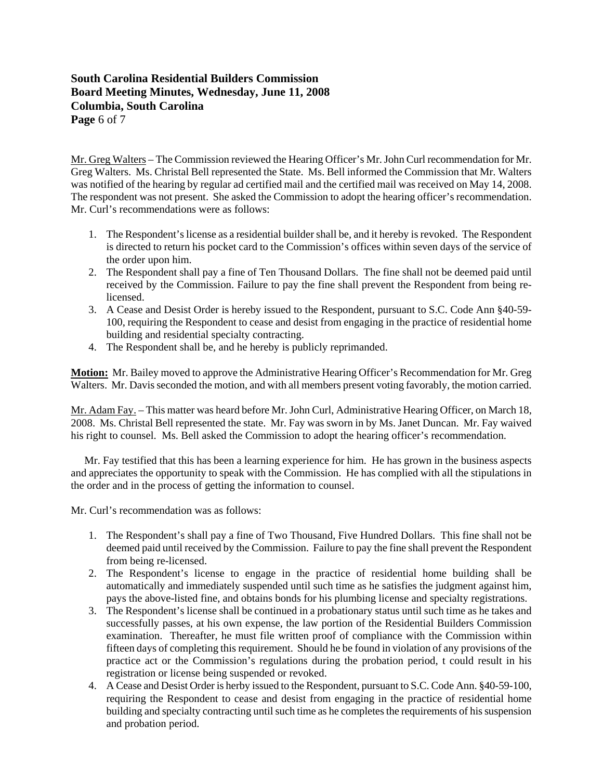# **South Carolina Residential Builders Commission Board Meeting Minutes, Wednesday, June 11, 2008 Columbia, South Carolina Page** 6 of 7

Mr. Greg Walters – The Commission reviewed the Hearing Officer's Mr. John Curl recommendation for Mr. Greg Walters. Ms. Christal Bell represented the State. Ms. Bell informed the Commission that Mr. Walters was notified of the hearing by regular ad certified mail and the certified mail was received on May 14, 2008. The respondent was not present. She asked the Commission to adopt the hearing officer's recommendation. Mr. Curl's recommendations were as follows:

- 1. The Respondent's license as a residential builder shall be, and it hereby is revoked. The Respondent is directed to return his pocket card to the Commission's offices within seven days of the service of the order upon him.
- 2. The Respondent shall pay a fine of Ten Thousand Dollars. The fine shall not be deemed paid until received by the Commission. Failure to pay the fine shall prevent the Respondent from being relicensed.
- 3. A Cease and Desist Order is hereby issued to the Respondent, pursuant to S.C. Code Ann §40-59- 100, requiring the Respondent to cease and desist from engaging in the practice of residential home building and residential specialty contracting.
- 4. The Respondent shall be, and he hereby is publicly reprimanded.

**Motion:** Mr. Bailey moved to approve the Administrative Hearing Officer's Recommendation for Mr. Greg Walters. Mr. Davis seconded the motion, and with all members present voting favorably, the motion carried.

Mr. Adam Fay. – This matter was heard before Mr. John Curl, Administrative Hearing Officer, on March 18, 2008. Ms. Christal Bell represented the state. Mr. Fay was sworn in by Ms. Janet Duncan. Mr. Fay waived his right to counsel. Ms. Bell asked the Commission to adopt the hearing officer's recommendation.

 Mr. Fay testified that this has been a learning experience for him. He has grown in the business aspects and appreciates the opportunity to speak with the Commission. He has complied with all the stipulations in the order and in the process of getting the information to counsel.

Mr. Curl's recommendation was as follows:

- 1. The Respondent's shall pay a fine of Two Thousand, Five Hundred Dollars. This fine shall not be deemed paid until received by the Commission. Failure to pay the fine shall prevent the Respondent from being re-licensed.
- 2. The Respondent's license to engage in the practice of residential home building shall be automatically and immediately suspended until such time as he satisfies the judgment against him, pays the above-listed fine, and obtains bonds for his plumbing license and specialty registrations.
- 3. The Respondent's license shall be continued in a probationary status until such time as he takes and successfully passes, at his own expense, the law portion of the Residential Builders Commission examination. Thereafter, he must file written proof of compliance with the Commission within fifteen days of completing this requirement. Should he be found in violation of any provisions of the practice act or the Commission's regulations during the probation period, t could result in his registration or license being suspended or revoked.
- 4. A Cease and Desist Order is herby issued to the Respondent, pursuant to S.C. Code Ann. §40-59-100, requiring the Respondent to cease and desist from engaging in the practice of residential home building and specialty contracting until such time as he completes the requirements of his suspension and probation period.